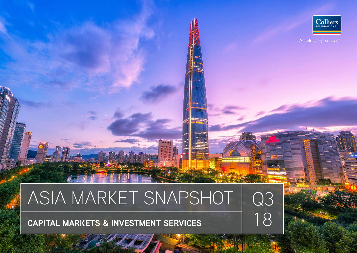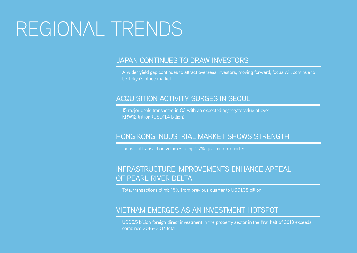## REGIONAL TRENDS

### JAPAN CONTINUES TO DRAW INVESTORS

A wider yield gap continues to attract overseas investors; moving forward, focus will continue to be Tokyo's office market

### ACQUISITION ACTIVITY SURGES IN SEOUL

15 major deals transacted in Q3 with an expected aggregate value of over KRW12 trillion (USD11.4 billion)

### HONG KONG INDUSTRIAL MARKET SHOWS STRENGTH

Industrial transaction volumes jump 117% quarter-on-quarter

### INFRASTRUCTURE IMPROVEMENTS ENHANCE APPEAL OF PEARL RIVER DELTA

Total transactions climb 15% from previous quarter to USD1.38 billion

### VIETNAM EMERGES AS AN INVESTMENT HOTSPOT

USD5.5 billion foreign direct investment in the property sector in the first half of 2018 exceeds combined 2016–2017 total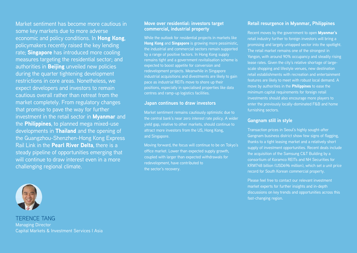Market sentiment has become more cautious in some key markets due to more adverse economic and policy conditions. In Hong Kong, policymakers recently raised the key lending rate; **Singapore** has introduced more cooling measures targeting the residential sector; and authorities in **Beijing** unveiled new policies during the quarter tightening development restrictions in core areas. Nonetheless, we expect developers and investors to remain cautious overall rather than retreat from the market completely. From regulatory changes that promise to pave the way for further investment in the retail sector in **Myanmar** and the **Philippines**, to planned mega mixed-use developments in Thailand and the opening of the Guangzhou-Shenzhen-Hong Kong Express Rail Link in the Pearl River Delta, there is a steady pipeline of opportunities emerging that will continue to draw interest even in a more challenging regional climate.

### **Move over residential: investors target commercial, industrial property**

While the outlook for residential projects in markets like Hong Kong and Singapore is growing more pessimistic, the industrial and commercial sectors remain supported by a range of positive factors. In Hong Kong supply remains tight and a government revitalisation scheme is expected to boost appetite for conversion and redevelopment projects. Meanwhile in Singapore industrial acquisitions and divestments are likely to gain pace as industrial REITs move to shore up their positions, especially in specialised properties like data centres and ramp-up logistics facilities.

#### **Japan continues to draw investors**

Market sentiment remains cautiously optimistic due to the central bank's near zero interest rate policy. A wider yield gap, relative to other markets, should continue to attract more investors from the US, Hong Kong, and Singapore.

Moving forward, the focus will continue to be on Tokyo's office market. Lower than expected supply growth, coupled with larger than expected withdrawals for redevelopment, have contributed to the sector's recovery.

### **Retail resurgence in Myanmar, Philippines**

Recent moves by the government to open Myanmar's retail industry further to foreign investors will bring a promising and largely untapped sector into the spotlight. The retail market remains one of the strongest in Yangon, with around 90% occupancy and steadily rising lease rates. Given the city's relative shortage of largescale shopping and lifestyle venues, new destination retail establishments with recreation and entertainment features are likely to meet with robust local demand. A move by authorities in the Philippines to ease the minimum capital requirements for foreign retail investments should also encourage more players to enter the previously locally-dominated F&B and home furnishing sectors.

#### **Gangnam still in style**

Transaction prices in Seoul's highly sought-after Gangnam business district show few signs of flagging, thanks to a tight leasing market and a relatively short supply of investment opportunities. Recent deals include the acquisition of the Samsung C&T Building by a consortium of Koramco REITs and NH Securities for KRW748 billion (USD696 million), which set a unit price record for South Korean commercial property.

Please feel free to contact our relevant investment market experts for further insights and in-depth discussions on key trends and opportunities across this fast-changing region.



TERENCE TANG Managing Director Capital Markets & Investment Services I Asia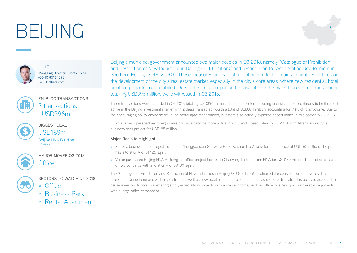# BEIJING

LI JIE





Managing Director | North China +86 10 8518 1593 jie.li@colliers.com



### EN-BLOC TRANSACTIONS 3 transactions | USD396m



BIGGEST DEAL USD189m Beijing HNA Building | Office



MAJOR MOVER Q3 2018 Office



- SECTORS TO WATCH Q4 2018
- » Office
- » Business Park
- » Rental Apartment

Beijing's municipal government announced two major policies in Q3 2018, namely "Catalogue of Prohibition and Restriction of New Industries in Beijing (2018 Edition)" and "Action Plan for Accelerating Development in Southern Beijing (2018–2020)". These measures are part of a continued effort to maintain tight restrictions on the development of the city's real estate market, especially in the city's core areas, where new residential, hotel or office projects are prohibited. Due to the limited opportunities available in the market, only three transactions, totalling USD396 million, were witnessed in Q3 2018.

Three transactions were recorded in Q3 2018 totalling USD396 million. The office sector, including business parks, continues to be the most active in the Beijing investment market with 2 deals transacted, worth a total of USD374 million, accounting for 94% of total volume. Due to the encouraging policy environment in the rental apartment market, investors also actively explored opportunities in this sector in Q3 2018.

From a buyer's perspective, foreign investors have become more active in 2018 and closed 1 deal in Q3 2018, with Allianz acquiring a business park project for USD185 million.

### **Major Deals to Highlight**

- » ZLink, a business park project located in Zhongguancun Software Park, was sold to Allianz for a total price of USD185 million. The project has a total GFA of 31,426 sq m.
- » Vanke purchased Beijing HNA Building, an office project located in Chaoyang District, from HNA for USD189 million. The project consists of two buildings with a total GFA of 39,100 sq m.

The "Catalogue of Prohibition and Restriction of New Industries in Beijing (2018 Edition)" prohibited the construction of new residential projects in Dongcheng and Xicheng districts as well as new hotel or office projects in the city's six core districts. This policy is expected to cause investors to focus on existing stock, especially in projects with a stable income, such as office, business park or mixed-use projects with a large office component.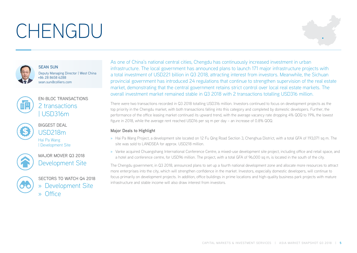# CHENGDU





SEAN SUN Deputy Managing Director | West China +86 28 8658 6288 sean.sun@colliers.com



### EN-BLOC TRANSACTIONS 2 transactions | USD316m



BIGGEST DEAL USD218m

Hai Pa Wang | Development Site



MAJOR MOVER Q3 2018 Development Site



SECTORS TO WATCH Q4 2018 » Development Site » Office

As one of China's national central cities, Chengdu has continuously increased investment in urban infrastructure. The local government has announced plans to launch 171 major infrastructure projects with a total investment of USD221 billion in Q3 2018, attracting interest from investors. Meanwhile, the Sichuan provincial government has introduced 24 regulations that continue to strengthen supervision of the real estate market, demonstrating that the central government retains strict control over local real estate markets. The overall investment market remained stable in Q3 2018 with 2 transactions totalling USD316 million.

There were two transactions recorded in Q3 2018 totalling USD316 million. Investors continued to focus on development projects as the top priority in the Chengdu market, with both transactions falling into this category and completed by domestic developers. Further, the performance of the office leasing market continued its upward trend, with the average vacancy rate dropping 4% QOQ to 19%, the lowest figure in 2018, while the average rent reached USD16 per sq m per day – an increase of 0.8% QOQ.

### **Major Deals to Highlight**

- » Hai Pa Wang Project, a development site located on 12 Fu Qing Road Section 3, Chenghua District, with a total GFA of 193,071 sq m. The site was sold to LANDSEA for approx. USD218 million.
- » Vanke acquired Chuangshang International Conference Centre, a mixed-use development site project, including office and retail space, and a hotel and conference centre, for USD96 million. The project, with a total GFA of 96,000 sq m, is located in the south of the city.

The Chengdu government, in Q3 2018, announced plans to set up a fourth national development zone and allocate more resources to attract more enterprises into the city, which will strengthen confidence in the market. Investors, especially domestic developers, will continue to focus primarily on development projects. In addition, office buildings in prime locations and high-quality business park projects with mature infrastructure and stable income will also draw interest from investors.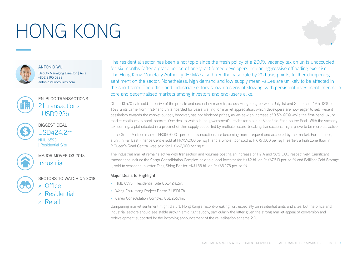# HONG KONG





ANTONIO WU Deputy Managing Director | Asia +852 9195 5983 antonio.wu@colliers.com



### EN-BLOC TRANSACTIONS 21 transactions | USD9.93b



BIGGEST DEAL USD424.2m NKIL 6593 | Residential Site



MAJOR MOVER Q3 2018 **Industrial** 



SECTORS TO WATCH Q4 2018 » Office

- » Residential
- » Retail

The residential sector has been a hot topic since the fresh policy of a 200% vacancy tax on units unoccupied for six months (after a grace period of one year) forced developers into an aggressive offloading exercise. The Hong Kong Monetary Authority (HKMA) also hiked the base rate by 25 basis points, further dampening sentiment on the sector. Nonetheless, high demand and low supply mean values are unlikely to be affected in the short term. The office and industrial sectors show no signs of slowing, with persistent investment interest in core and decentralised markets among investors and end-users alike.

Of the 13,570 flats sold, inclusive of the presale and secondary markets, across Hong Kong between July 1st and September 19th, 12% or 1,677 units came from first-hand units hoarded for years waiting for market appreciation, which developers are now eager to sell. Recent pessimism towards the market outlook, however, has not hindered prices, as we saw an increase of 3.5% QOQ while the first-hand luxury market continues to break records. One deal to watch is the government's tender for a site at Mansfield Road on the Peak. With the vacancy tax looming, a plot situated in a precinct of slim supply supported by multiple record-breaking transactions might prove to be more attractive.

In the Grade A office market, HK\$50,000+ per sq. ft transactions are becoming more frequent and accepted by the market. For instance, a unit in Far East Finance Centre sold at HK\$59,000 per sq ft and a whole floor sold at HK\$61,000 per sq ft earlier; a high zone floor in 9 Queen's Road Central was sold for HK\$62,000 per sq ft.

The industrial market remains active with transaction and volumes posting an increase of 117% and 58% QOQ respectively. Significant transactions include the Cargo Consolidation Complex, sold to a local investor for HK\$2 billion (HK\$7,513 per sq ft) and Brilliant Cold Storage II, sold to seasoned investor Tang Shing Bor for HK\$1.55 billion (HK\$5,275 per sq ft).

#### **Major Deals to Highlight**

- » NKIL 6593 | Residential Site USD424.2m.
- » Wong Chuk Hang Project Phase 3 USD1.7b.
- » Cargo Consolidation Complex USD256.4m.

Dampening market sentiment might disturb Hong Kong's record-breaking run, especially on residential units and sites, but the office and industrial sectors should see stable growth amid tight supply, particularly the latter given the strong market appeal of conversion and redevelopment supported by the incoming announcement of the revitalisation scheme 2.0.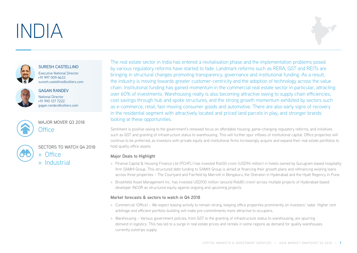# INDIA





#### SURESH CASTELLINO

Executive National Director +91 997 009 6633 suresh.castellino@colliers.com



#### GAGAN RANDEV

National Director +91 990 127 7222 gagan.randev@colliers.com



### MAJOR MOVER Q3 2018 Office

SECTORS TO WATCH Q4 2018 » Office

» Industrial

The real estate sector in India has entered a revitalisation phase and the implementation problems posed by various regulatory reforms have started to fade. Landmark reforms such as RERA, GST and REITs are bringing in structural changes promoting transparency, governance and institutional funding. As a result, the industry is moving towards greater customer-centricity and the adoption of technology across the value chain. Institutional funding has gained momentum in the commercial real estate sector in particular, attracting over 60% of investments. Warehousing realty is also becoming attractive owing to supply chain efficiencies, cost savings through hub and spoke structures, and the strong growth momentum exhibited by sectors such as e-commerce, retail, fast-moving consumer goods and automotive. There are also early signs of recovery in the residential segment with attractively located and priced land parcels in play, and stronger brands looking at these opportunities.

Sentiment is positive owing to the government's renewed focus on affordable housing, game-changing regulatory reforms, and initiatives such as GST and granting of infrastructure status to warehousing. This will further spur inflows of institutional capital. Office properties will continue to be preferred, as investors with private equity and institutional firms increasingly acquire and expand their real estate portfolios to hold quality office assets.

### **Major Deals to Highlight**

- » Piramal Capital & Housing Finance Ltd (PCHFL) has invested Rs650 crore (USD94 million) in hotels owned by Gurugram-based hospitality firm SAMHI Group. This structured debt funding to SAMHI Group is aimed at financing their growth plans and refinancing existing loans across three properties – The Courtyard and Fairfield by Marriott in Bengaluru, the Sheraton in Hyderabad and the Hyatt Regency in Pune.
- » Brookfield Asset Management Inc. has invested USD100 million (around Rs680 crore) across multiple projects of Hyderabad-based developer INCOR as structured equity against ongoing and upcoming projects.

#### **Market forecasts & sectors to watch in Q4 2018**

- » Commercial (Office) We expect leasing activity to remain strong, keeping office properties prominently on investors' radar. Higher rent arbitrage and efficient portfolio-building will make pre-commitments more attractive to occupiers.
- » Warehousing Various government policies, from GST to the granting of infrastructure status to warehousing, are spurring demand in logistics. This has led to a surge in real estate prices and rentals in some regions as demand for quality warehouses currently outstrips supply.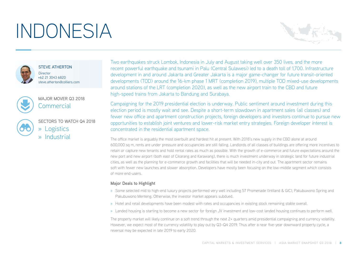# INDONESIA





STEVE ATHERTON **Director** +62 21 3043 6820 steve.atherton@colliers.com



### MAJOR MOVER Q3 2018 **Commercial**

SECTORS TO WATCH Q4 2018 » Logistics » Industrial

Two earthquakes struck Lombok, Indonesia in July and August taking well over 350 lives, and the more recent powerful earthquake and tsunami in Palu (Central Sulawesi) led to a death toll of 1,700. Infrastructure development in and around Jakarta and Greater Jakarta is a major game-changer for future transit-oriented developments (TOD) around the 16-km phase 1 MRT (completion 2019), multiple TOD mixed-use developments around stations of the LRT (completion 2020), as well as the new airport train to the CBD and future high-speed trains from Jakarta to Bandung and Surabaya.

Campaigning for the 2019 presidential election is underway. Public sentiment around investment during this election period is mostly wait and see. Despite a short-term slowdown in apartment sales (all classes) and fewer new office and apartment construction projects, foreign developers and investors continue to pursue new opportunities to establish joint ventures and lower-risk market entry strategies. Foreign developer interest is concentrated in the residential apartment space.

The office market is arguably the most overbuilt and hardest hit at present. With 2018's new supply in the CBD alone at around 600,000 sq m, rents are under pressure and occupancies are still falling. Landlords of all classes of buildings are offering more incentives to retain or capture new tenants and hold rental rates as much as possible. With the growth of e-commerce and future expectations around the new port and new airport (both east of Cikarang and Karawang), there is much investment underway in strategic land for future industrial cities, as well as the planning for e-commerce growth and facilities that will be needed in-city and out. The apartment sector remains soft with fewer new launches and slower absorption. Developers have mostly been focusing on the low-middle segment which consists of more end-users.

### **Major Deals to Highlight**

- » Some selected mid to high-end luxury projects performed very well including 57 Promenade (Intiland & GIC), Pakubuwono Spring and Pakubuwono Menteng. Otherwise, the investor market appears subdued.
- » Hotel and retail developments have been modest with rates and occupancies in existing stock remaining stable overall.
- » Landed housing is starting to become a new sector for foreign JV investment and low-cost landed housing continues to perform well.

The property market will likely continue on a soft trend through the next 2+ quarters amid presidential campaigning and currency volatility. However, we expect most of the currency volatility to play out by Q3–Q4 2019. Thus after a near five-year downward property cycle, a reversal may be expected in late 2019 to early 2020.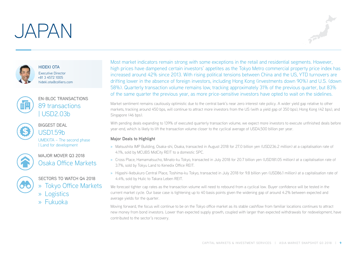## JAPAN





HIDEKI OTA Executive Director +81 3 4572 1005 hideki.ota@colliers.com



### EN-BLOC TRANSACTIONS 89 transactions | USD2.03b



BIGGEST DEAL USD1.59b

UMEKITA – The second phase | Land for development



MAJOR MOVER Q3 2018 Osaka Office Markets



SECTORS TO WATCH Q4 2018

- » Tokyo Office Markets
- » Logistics
- » Fukuoka

Most market indicators remain strong with some exceptions in the retail and residential segments. However, high prices have dampened certain investors' appetites as the Tokyo Metro commercial property price index has increased around 42% since 2013. With rising political tensions between China and the US, YTD turnovers are drifting lower in the absence of foreign investors, including Hong Kong (investments down 90%) and U.S. (down 58%). Quarterly transaction volume remains low, tracking approximately 31% of the previous quarter, but 83% of the same quarter the previous year, as more price-sensitive investors have opted to wait on the sidelines.

Market sentiment remains cautiously optimistic due to the central bank's near zero interest rate policy. A wider yield gap relative to other markets, tracking around 450 bps, will continue to attract more investors from the US (with a yield gap of 350 bps), Hong Kong (42 bps), and Singapore (46 bps).

With pending deals expanding to 139% of executed quarterly transaction volume, we expect more investors to execute unfinished deals before year-end, which is likely to lift the transaction volume closer to the cyclical average of USD4,500 billion per year.

### **Major Deals to Highlight**

- » Matsushita IMP Building, Osaka-shi, Osaka, transacted in August 2018 for 27.0 billion yen (USD236.2 million) at a capitalisation rate of 4.1%, sold by MCUBS MidCity REIT to a domestic SPC.
- » Cross Place, Hamamatsucho, Minato-ku Tokyo, transacted in July 2018 for 20.7 billion yen (USD181.05 million) at a capitalisation rate of 3.7%, sold by Tokyu Land to Kenedix Office REIT.
- » Higashi-Ikebukuro Central Place, Toshima-ku Tokyo, transacted in July 2018 for 9.8 billion yen (USD86.1 million) at a capitalisation rate of 4.4%, sold by Hulic to Takara Leben REIT.

We forecast tighter cap rates as the transaction volume will need to rebound from a cyclical low. Buyer confidence will be tested in the current market cycle. Our base case is tightening up to 40 basis points given the widening gap of around 4.2% between expected and average yields for the quarter.

Moving forward, the focus will continue to be on the Tokyo office market as its stable cashflow from familiar locations continues to attract new money from bond investors. Lower than expected supply growth, coupled with larger than expected withdrawals for redevelopment, have contributed to the sector's recovery.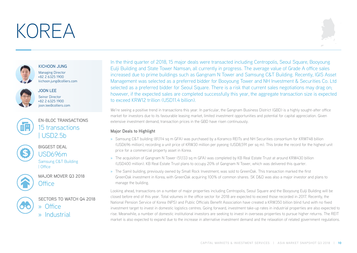## KOREA





#### KICHOON JUNG

Managing Director +82 2 6325 1900 kichoon.jung@colliers.com



### JOON LEE

Seinor Director +82 2 6325 1900 joon.lee@colliers.com



EN-BLOC TRANSACTIONS 15 transactions | USD2.5b



BIGGEST DEAL USD696m

Samsung C&T Building | Office



MAJOR MOVER Q3 2018 Office



SECTORS TO WATCH Q4 2018 » Office

» Industrial

In the third quarter of 2018, 15 major deals were transacted including Centropolis, Seoul Square, Booyoung Eulji Building and State Tower Namsan, all currently in progress. The average value of Grade A office sales increased due to prime buildings such as Gangnam N Tower and Samsung C&T Building. Recently, IGIS Asset Management was selected as a preferred bidder for Booyoung Tower and NH Investment & Securities Co. Ltd selected as a preferred bidder for Seoul Square. There is a risk that current sales negotiations may drag on; however, if the expected sales are completed successfully this year, the aggregate transaction size is expected to exceed KRW12 trillion (USD11.4 billion).

We're seeing a positive trend in transactions this year. In particular, the Gangnam Business District (GBD) is a highly sought-after office market for investors due to its favourable leasing market, limited investment opportunities and potential for capital appreciation. Given extensive investment demand, transaction prices in the GBD have risen continuously.

### **Major Deals to Highlight**

- » Samsung C&T building (81,114 sq m GFA) was purchased by a Koramco REITs and NH Securities consortium for KRW748 billion (USD696 million), recording a unit price of KRW30 million per pyeong (USD8,591 per sq m). This broke the record for the highest unit price for a commercial property asset in Korea.
- » The acquisition of Gangnam N Tower (51,133 sq m GFA) was completed by KB Real Estate Trust at around KRW430 billion (USD400 million). KB Real Estate Trust plans to occupy 20% of Gangnam N Tower, which was delivered this quarter.
- » The Samil building, previously owned by Small Rock Investment, was sold to GreenOak. This transaction marked the first GreenOak investment in Korea, with GreenOak acquiring 100% of common shares. SK D&D was also a major investor and plans to manage the building.

Looking ahead, transactions on a number of major properties including Centropolis, Seoul Square and the Booyoung Eulji Building will be closed before end of this year. Total volumes in the office sector for 2018 are expected to exceed those recorded in 2017. Recently, the National Pension Service of Korea (NPS) and Public Officials Benefit Association have created a KRW350 billion blind fund with no fixed investment target to invest in domestic logistics centres. Going forward, investment take-up rates in industrial properties are also expected to rise. Meanwhile, a number of domestic institutional investors are seeking to invest in overseas properties to pursue higher returns. The REIT market is also expected to expand due to the increase in alternative investment demand and the relaxation of related government regulations.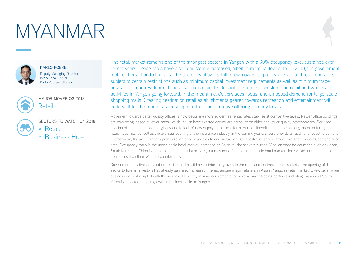## MYANMAR



KARLO POBRE Deputy Managing Director +95 979 573 3378 Karlo.Pobre@colliers.com



MAJOR MOVER Q3 2018 Retail

SECTORS TO WATCH Q4 2018 » Retail » Business Hotel

The retail market remains one of the strongest sectors in Yangon with a 90% occupancy level sustained over recent years. Lease rates have also consistently increased, albeit at marginal levels. In H1 2018, the government took further action to liberalise the sector by allowing full foreign ownership of wholesale and retail operators subject to certain restrictions such as minimum capital investment requirements as well as minimum trade areas. This much-welcomed liberalisation is expected to facilitate foreign investment in retail and wholesale activities in Yangon going forward. In the meantime, Colliers sees robust and untapped demand for large-scale shopping malls. Creating destination retail establishments geared towards recreation and entertainment will bode well for the market as these appear to be an attractive offering to many locals.

Movement towards better quality offices is now becoming more evident as rental rates stabilise at competitive levels. Newer office buildings are now being leased at lower rates, which in turn have exerted downward pressure on older and lower quality developments. Serviced apartment rates increased marginally due to lack of new supply in the near term. Further liberalisation in the banking, manufacturing and retail industries, as well as the eventual opening of the insurance industry in the coming years, should provide an additional boost to demand. Furthermore, the government's promulgation of new policies to encourage foreign investment should propel expatriate housing demand over time. Occupancy rates in the upper-scale hotel market increased as Asian tourist arrivals surged. Visa leniency for countries such as Japan, South Korea and China is expected to boost tourist arrivals, but may not affect the upper-scale hotel market since Asian tourists tend to spend less than their Western counterparts.

Government initiatives centred on tourism and retail have reinforced growth in the retail and business hotel markets. The opening of the sector to foreign investors has already garnered increased interest among major retailers in Asia in Yangon's retail market. Likewise, stronger business interest coupled with the increased leniency in visa requirements for several major trading partners including Japan and South Korea is expected to spur growth in business visits to Yangon.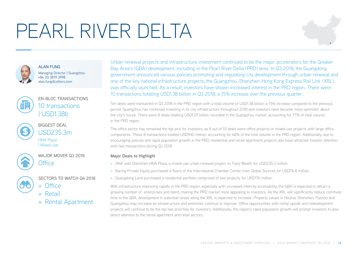# PEARL RIVER DELTA





**ALAN FUNG** Managing Director | Guangzhou +86 20 3819 3998 alan.fung@colliers.com



### EN-BLOC TRANSACTIONS 10 transactions | USD1.38b



BIGGEST DEAL USD235.3m HNA Plaza | Mixed-use



MAJOR MOVER 03 2018 Office



- » Office
- » Retail
- » Rental Apartment

SECTORS TO WATCH Q4 2018

Urban renewal projects and infrastructure investment continued to be the major accelerators for the Greater Bay Area's (GBA) development, including in the Pearl River Delta (PRD) area. In Q3 2018, the Guangdong government announced various policies promoting and regulating city development through urban renewal and one of the key national infrastructure projects, the Guangzhou-Shenzhen-Hong Kong Express Rail Link (XRL), was officially launched. As a result, investors have shown increased interest in the PRD region. There were 10 transactions totalling USD1.38 billion in Q3 2018, a 15% increase over the previous quarter.

Ten deals were transacted in Q3 2018 in the PRD region with a total volume of USD1.38 billion, a 15% increase compared to the previous period. Guangzhou has continued investing in its city infrastructure throughout 2018 and investors have become more optimistic about the city's future. There were 8 deals totalling USD1.07 billion recorded in the Guangzhou market, accounting for 77% of total volume in the PRD region.

The office sector has remained the top pick for investors, as 8 out of 10 deals were office projects or mixed-use projects with large office components. These 8 transactions totalled USD940 million, accounting for 68% of the total volume in the PRD region. Additionally, due to encouraging policies and rapid population growth in the PRD, residential and rental apartment projects also have attracted investor attention, with two transactions during Q3 2018.

### **Major Deals to Highlight**

- » HNA sold Shenzhen HNA Plaza, a mixed-use urban renewal project, to Tianji Wealth for USD235.3 million.
- » Baring Private Equity purchased 4 floors of the International Chamber Center from Global Sources for USD76.8 million.
- » Guangdong Land purchased a residential portfolio comprised of two projects, for USD176 million.

With infrastructure improving rapidly in the PRD region, especially with increased intercity accessibility, the GBA is expected to attract a growing number of enterprises and talent, making the PRD market more appealing to investors. As the XRL will significantly reduce commute time to the GBA, development in suburban areas along the XRL is expected to increase. Property values in Houhai, Shenzhen, Pazhou and Guangzhou may increase as infrastructure and amenities continue to improve. Office opportunities with rental upside and redevelopment projects will continue to be the top two priorities for investors. Additionally, the region's rapid population growth will prompt investors to also direct attention to the rental apartment and retail sectors.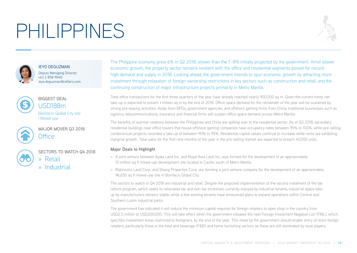# PHILIPPINES





IEYO DEGUZMAN Deputy Managing Director +63 2 858 9040 ieyo.deguzman@colliers.com



BIGGEST DEAL USD188m Bonifacio Global City site | Mixed-use

MAJOR MOVER 03 2018 Office



SECTORS TO WATCH Q4 2018

» Retail » Industrial

The Philippine economy grew 6% in Q2 2018, slower than the 7–8% initially projected by the government. Amid slower economic growth, the property sector remains resilient with the office and residential segments poised for recordhigh demand and supply in 2018. Looking ahead, the government intends to spur economic growth by attracting more investment through relaxation of foreign ownership restrictions in key sectors such as construction and retail, and the continuing construction of major infrastructure projects primarily in Metro Manila.

Total office transactions for the first three-quarters of the year have already reached nearly 900,000 sq m. Given the current trend, net take-up is expected to breach 1 million sq m by the end of 2018. Office space demand for the remainder of the year will be sustained by strong pre-leasing activities. Aside from BPOs, government agencies, and offshore gaming firms from China, traditional businesses such as logistics, telecommunications, insurance and financial firms will sustain office space demand across Metro Manila.

The benefits of warmer relations between the Philippines and China are spilling over to the residential sector. As of Q3 2018, secondary residential buildings near office towers that house offshore gaming companies have occupancy rates between 95% to 100%, while pre-selling condominium projects recorded a take up of between 90% to 95%. Residential capital values continue to increase while rents are exhibiting marginal growth. Total sales for the first nine months of the year in the pre-selling market are expected to breach 40,000 units.

### **Major Deals to Highlight**

- » A joint venture between Ayala Land Inc. and Royal Asia Land Inc, was formed for the development of an approximately 10 million sq ft mixed-use development site located in Cavite, south of Metro Manila.
- » Robinsons Land Corp. and Shang Properties Corp. are forming a joint venture company for the development of an approximately 96,650 sq ft mixed-use site in Bonifacio Global City.

The sectors to watch in Q4 2018 are industrial and retail. Despite the proposed implementation of the second instalment of the tax reform program, which seeks to rationalise tax and non-tax incentives currently enjoyed by industrial tenants, industrial space takeup by manufacturers remains stable, while a few existing tenants have announced plans to expand operations within Central and Southern Luzon industrial parks.

The government has indicated it will reduce the minimum capital required for foreign retailers to open shop in the country from USD2.5 million to USD200,000. This will take effect when the government releases the next Foreign Investment Negative List (FINL), which specifies investment areas restricted to foreigners, by the end of the year. This move by the government should enable entry of more foreign retailers, particularly those in the food and beverage (F&B) and home furnishing sectors as these are still dominated by local players.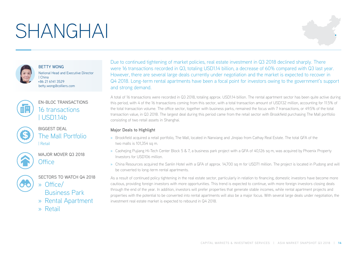## SHANGHAI





BETTY WONG National Head and Executive Director | China +86 21 6141 3529 betty.wong@colliers.com



### EN-BLOC TRANSACTIONS 16 transactions | USD1.14b



BIGGEST DEAL The Mall Portfolio | Retail



MAJOR MOVER Q3 2018 **Office** 



SECTORS TO WATCH 04 2018 » Office/

Business Park

- » Rental Apartment
- » Retail

Due to continued tightening of market policies, real estate investment in Q3 2018 declined sharply. There were 16 transactions recorded in Q3, totaling USD1.14 billion, a decrease of 60% compared with Q3 last year. However, there are several large deals currently under negotiation and the market is expected to recover in Q4 2018. Long-term rental apartments have been a focal point for investors owing to the government's support and strong demand.

A total of 16 transactions were recorded in Q3 2018, totaling approx. USD1.14 billion. The rental apartment sector has been quite active during this period, with 4 of the 16 transactions coming from this sector, with a total transaction amount of USD132 million, accounting for 11.5% of the total transaction volume. The office sector, together with business parks, remained the focus with 7 transactions, or 49.5% of the total transaction value, in Q3 2018. The largest deal during this period came from the retail sector with Brookfield purchasing The Mall portfolio consisting of two retail assets in Shanghai.

### **Major Deals to Highlight**

- » Brookfield acquired a retail portfolio, The Mall, located in Nanxiang and Jinqiao from Cathay Real Estate. The total GFA of the two malls is 101,354 sq m.
- » Caohejing Pujiang Hi-Tech Center Block 5 & 7, a business park project with a GFA of 40.126 sq m, was acquired by Phoenix Property Investors for USD106 million.
- » China Resources acquired the Sanlin Hotel with a GFA of approx. 14,700 sq m for USD71 million. The project is located in Pudong and will be converted to long-term rental apartments.

As a result of continued policy tightening in the real estate sector, particularly in relation to financing, domestic investors have become more cautious, providing foreign investors with more opportunities. This trend is expected to continue, with more foreign investors closing deals through the end of the year. In addition, investors will prefer properties that generate stable incomes, while rental apartment projects and properties with the potential to be converted into rental apartments will also be a major focus. With several large deals under negotiation, the investment real estate market is expected to rebound in Q4 2018.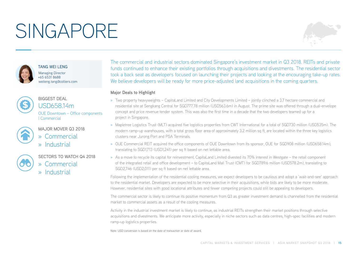# SINGAPORE





TANG WELL ENG Managing Director +65 6531 8688 weileng.tang@colliers.com



BIGGEST DEAL USD658.14m OUE Downtown – Office components | Commercial

MAJOR MOVER 03 2018 » Commercial » Industrial

SECTORS TO WATCH Q4 2018 » Commercial

» Industrial

The commercial and industrial sectors dominated Singapore's investment market in Q3 2018. REITs and private funds continued to enhance their existing portfolios through acquisitions and divestments. The residential sector took a back seat as developers focused on launching their projects and looking at the encouraging take-up rates. We believe developers will be ready for more price-adjusted land acquisitions in the coming quarters.

#### **Major Deals to Highlight**

- » Two property heavyweights CapitaLand Limited and City Developments Limited jointly clinched a 3.7 hectare commercial and residential site at Sengkang Central for SGD777.78 million (USD563.6m) in August. The prime site was offered through a dual-envelope concept and price revenue tender system. This was also the first time in a decade that the two developers teamed up for a project in Singapore.
- » Mapletree Logistics Trust (MLT) acquired five logistics properties from CWT International for a total of SGD730 million (USD535m). The modern ramp-up warehouses, with a total gross floor area of approximately 3.2 million sq ft, are located within the three key logistics clusters near Jurong Port and PSA Terminals.
- » OUE Commercial REIT acquired the office components of OUE Downtown from its sponsor, OUE for SGD908 million (USD658.14m), translating to SGD1,713 (USD1,241) per sq ft based on net lettable area.
- » As a move to recycle its capital for reinvestment, CapitaLand Limited divested its 70% interest in Westgate the retail component of the integrated retail and office development – to CapitaLand Mall Trust (CMT) for SGD789.6 million (USD578.2m), translating to SGD2,746 (USD2,011) per sq ft based on net lettable area.

Following the implementation of the residential cooling measures, we expect developers to be cautious and adopt a 'wait-and-see' approach to the residential market. Developers are expected to be more selective in their acquisitions, while bids are likely to be more moderate. However, residential sites with good locational attributes and fewer competing projects could still be appealing to developers.

The commercial sector is likely to continue its positive momentum from Q3 as greater investment demand is channelled from the residential market to commercial assets as a result of the cooling measures.

Activity in the industrial investment market is likely to continue, as industrial REITs strengthen their market positions through selective acquisitions and divestments. We anticipate more activity, especially in niche sectors such as data centres, high-spec facilities and modern ramp-up logistics properties.

Note: USD conversion is based on the date of transaction or date of award.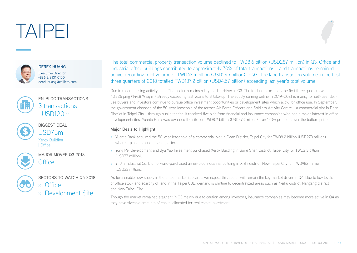## TAIPEI



DEREK HUANG Executive Director +886 2 8101 0150 derek.huang@colliers.com



### EN-BLOC TRANSACTIONS 3 transactions | USD120m



BIGGEST DEAL USD75m

Xerox Building | Office



MAJOR MOVER Q3 2018 Office



SECTORS TO WATCH Q4 2018 » Office

» Development Site

The total commercial property transaction volume declined to TWD8.6 billion (USD287 million) in Q3. Office and industrial office buildings contributed to approximately 70% of total transactions. Land transactions remained active, recording total volume of TWD43.4 billion (USD1.45 billion) in Q3. The land transaction volume in the first three quarters of 2018 totalled TWD137.2 billion (USD4.57 billion) exceeding last year's total volume.

Due to robust leasing activity, the office sector remains a key market driver in Q3. The total net take-up in the first three quarters was 43,826 ping (144,879 sq m), already exceeding last year's total take-up. The supply coming online in 2019–2021 is mainly for self-use. Selfuse buyers and investors continue to pursue office investment opportunities or development sites which allow for office use. In September, the government disposed of the 50-year leasehold of the former Air Force Officers and Soldiers Activity Centre – a commercial plot in Daan District in Taipei City – through public tender. It received five bids from financial and insurance companies who had a major interest in office development sites. Yuanta Bank was awarded the site for TWD8.2 billion (USD273 million) – an 123% premium over the bottom price.

### **Major Deals to Highlight**

- » Yuanta Bank acquired the 50-year leasehold of a commercial plot in Daan District, Taipei City for TWD8.2 billion (USD273 million), where it plans to build it headquarters.
- » Yong Pei Development and Jyu Yao Investment purchased Xerox Building in Song Shan District, Taipei City for TWD2.3 billion (USD77 million).
- » Yi Jin Industrial Co. Ltd. forward-purchased an en-bloc industrial building in Xizhi district, New Taipei City for TWD982 million (USD33 million).

As foreseeable new supply in the office market is scarce, we expect this sector will remain the key market driver in Q4. Due to low levels of office stock and scarcity of land in the Taipei CBD, demand is shifting to decentralized areas such as Neihu district, Nangang district and New Taipei City.

Though the market remained stagnant in Q3 mainly due to caution among investors, insurance companies may become more active in Q4 as they have sizeable amounts of capital allocated for real estate investment.

CAPITAL MARKETS & INVESTMENT SERVICES | ASIA MARKET SNAPSHOT Q3 2018 | **16**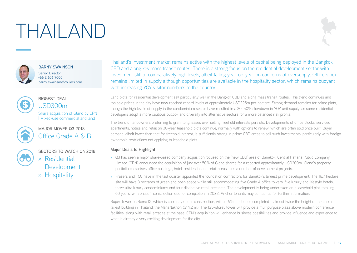# THAILAND



BARNY SWAINSON

Senior Director +66 2 656 7000 barny.swainson@colliers.com



### BIGGEST DEAL USD300m

Share acquisition of Gland by CPN | Mixed-use commercial and land



MAJOR MOVER 03 2018 Office Grade A & B



SECTORS TO WATCH Q4 2018

» Residential Development

» Hospitality

Thailand's investment market remains active with the highest levels of capital being deployed in the Bangkok CBD and along key mass transit routes. There is a strong focus on the residential development sector with investment still at comparatively high levels, albeit falling year-on-year on concerns of oversupply. Office stock remains limited in supply although opportunities are available in the hospitality sector, which remains buoyant with increasing YOY visitor numbers to the country.

Land plots for residential development sell particularly well in the Bangkok CBD and along mass transit routes. This trend continues and top sale prices in the city have now reached record levels at approximately USD225m per hectare. Strong demand remains for prime plots, though the high levels of supply in the condominium sector have resulted in a 30–40% slowdown in YOY unit supply, as some residential developers adopt a more cautious outlook and diversify into alternative sectors for a more balanced risk profile.

The trend of landowners preferring to grant long leases over selling freehold interests persists. Developments of office blocks, serviced apartments, hotels and retail on 30-year leasehold plots continue, normally with options to renew, which are often sold once built. Buyer demand, albeit lower than that for freehold interest, is sufficiently strong in prime CBD areas to sell such investments, particularly with foreign ownership restrictions not applying to leasehold plots.

### **Major Deals to Highlight**

- » Q3 has seen a major share-based company acquisition focused on the 'new CBD' area of Bangkok. Central Pattana Public Company Limited (CPN) announced the acquisition of just over 50% of Gland shares for a reported approximately USD300m. Gland's property portfolio comprises office buildings, hotel, residential and retail areas, plus a number of development projects.
- » Frasers and TCC have in the last quarter appointed the foundation contractors for Bangkok's largest prime development. The 16.7 hectare site will have 8 hectares of green and open space while still accommodating five Grade A office towers, five luxury and lifestyle hotels, three ultra luxury condominiums and four distinctive retail precincts. The development is being undertaken on a leasehold plot, totalling 60 years, with phase 1 construction due for completion in 2022. Anchor tenants may contact us for further information.

Super Tower on Rama IX, which is currently under construction, will be 615m tall once completed – almost twice the height of the current tallest building in Thailand, the MahaNakhon (314.2 m). The 125-storey tower will provide a multipurpose plaza above modern conference facilities, along with retail arcades at the base. CPN's acquisition will enhance business possibilities and provide influence and experience to what is already a very exciting development for the city.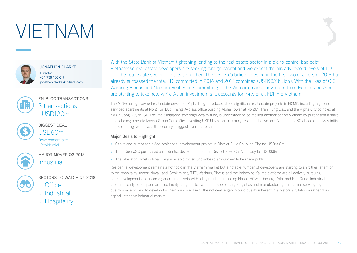## VIETNAM



JONATHON CLARKE

**Director** +84 938 150 019 jonathon.clarke@colliers.com



### EN-BLOC TRANSACTIONS 3 transactions | USD120m



BIGGEST DEAL USD60m Development site | Residential



MAJOR MOVER Q3 2018 **Industrial** 

SECTORS TO WATCH Q4 2018



» Industrial

» Office

» Hospitality

With the State Bank of Vietnam tightening lending to the real estate sector in a bid to control bad debt, Vietnamese real estate developers are seeking foreign capital and we expect the already record levels of FDI into the real estate sector to increase further. The USD\$5.5 billion invested in the first two quarters of 2018 has already surpassed the total FDI committed in 2016 and 2017 combined (USD\$3.7 billion). With the likes of GIC, Warburg Pincus and Nomura Real estate committing to the Vietnam market, investors from Europe and America are starting to take note while Asian investment still accounts for 74% of all FDI into Vietnam.

The 100% foreign-owned real estate developer Alpha King introduced three significant real estate projects in HCMC, including high-end serviced apartments at No 2 Ton Duc Thang, A-class office building Alpha Tower at No 289 Tran Hung Dao, and the Alpha City complex at No 87 Cong Quynh. GIC Pte, the Singapore sovereign wealth fund, is understood to be making another bet on Vietnam by purchasing a stake in local conglomerate Masan Group Corp after investing USD\$1.3 billion in luxury residential developer Vinhomes JSC ahead of its May initial public offering, which was the country's biggest-ever share sale.

### **Major Deals to Highlight**

- » Capitaland purchased a 6ha residential development project in District 2 Ho Chi Minh City for USD\$60m.
- » Thao Dien JSC purchased a residential development site in District 2 Ho Chi Minh City for USD\$38m.
- » The Sheraton Hotel in Nha Trang was sold for an undisclosed amount yet to be made public.

Residential development remains a hot topic in the Vietnam market but a notable number of developers are starting to shift their attention to the hospitality sector. Nova Land, Sonkimland, TTC, Warburg Pincus and the Indochina Kajima platform are all actively pursuing hotel development and income generating assets within key markets including Hanoi, HCMC, Danang, Dalat and Phu Quoc. Industrial land and ready build space are also highly sought after with a number of large logistics and manufacturing companies seeking high quality space or land to develop for their own use due to the noticeable gap in build quality inherent in a historically labour- rather than capital-intensive industrial market.

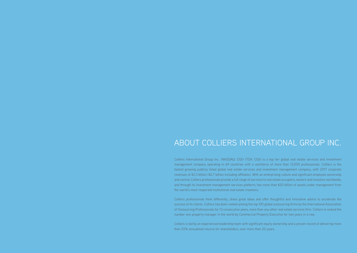### ABOUT COLLIERS INTERNATIONAL GROUP INC.

Colliers International Group Inc. (NASDAQ: CIGI) (TSX: CIGI) is a top tier global real estate services and investment management company operating in 69 countries with a workforce of more than 12,000 professionals. Colliers is the fastest-growing publicly listed global real estate services and investment management company, with 2017 corporate revenues of \$2.3 billion (\$2.7 billion including affiliates). With an enterprising culture and significant employee ownership and control, Colliers professionals provide a full range of services to real estate occupiers, owners and investors worldwide, and through its investment management services platform, has more than \$20 billion of assets under management from the world's most respected institutional real estate investors.

Colliers professionals think differently, share great ideas and offer thoughtful and innovative advice to accelerate the success of its clients. Colliers has been ranked among the top 100 global outsourcing firms by the International Association of Outsourcing Professionals for 13 consecutive years, more than any other real estate services firm. Colliers is ranked the number one property manager in the world by Commercial Property Executive for two years in a row.

Colliers is led by an experienced leadership team with significant equity ownership and a proven record of delivering more than 20% annualized returns for shareholders, over more than 20 years.